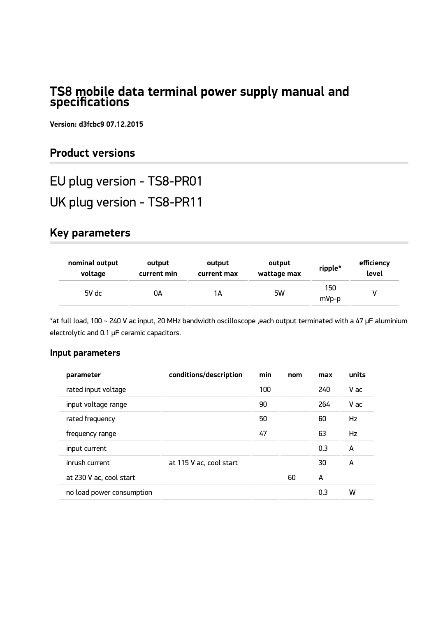## **TS8 mobile data terminal power supply manual and specifications**

**Version: d3fcbc9 07.12.2015**

# **Product versions**

EU plug version - TS8-PR01

UK plug version - TS8-PR11

# **Key parameters**

| nominal output | output      | output      | output      | ripple*      | efficiency |
|----------------|-------------|-------------|-------------|--------------|------------|
| voltage        | current min | current max | wattage max |              | level      |
| $5V$ dc        | OΑ          | 1А          | 5W          | 150<br>mVp-p |            |

\*at full load, 100 ~ 240 V ac input, 20 MHz bandwidth oscilloscope ,each output terminated with a 47 µF aluminium electrolytic and 0.1 µF ceramic capacitors.

### **Input parameters**

| parameter                 | conditions/description  | min | nom | max | units |
|---------------------------|-------------------------|-----|-----|-----|-------|
| rated input voltage       |                         | 100 |     | 240 | V ac  |
| input voltage range       |                         | 90  |     | 264 | V ac  |
| rated frequency           |                         | 50  |     | 60  | Hz    |
| frequency range           |                         | 47  |     | 63  | Hz    |
| input current             |                         |     |     | 0.3 | A     |
| inrush current            | at 115 V ac, cool start |     |     | 30  | A     |
| at 230 V ac, cool start   |                         |     | 60  | A   |       |
| no load power consumption |                         |     |     | 0.3 | w     |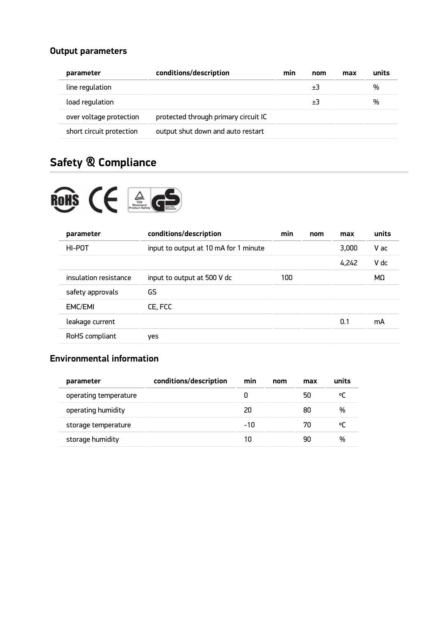## **Output parameters**

| parameter                | conditions/description               | min | nom | max | units |
|--------------------------|--------------------------------------|-----|-----|-----|-------|
| line regulation          |                                      |     | +3  |     | %     |
| load regulation          |                                      |     | +3  |     | %     |
| over voltage protection  | protected through primary circuit IC |     |     |     |       |
| short circuit protection | output shut down and auto restart    |     |     |     |       |

# **Safety & Compliance**



| parameter             | conditions/description                | min | nom | max   | units |
|-----------------------|---------------------------------------|-----|-----|-------|-------|
| HI-POT                | input to output at 10 mA for 1 minute |     |     | 3.000 | V ac  |
|                       |                                       |     |     | 4,242 | V dc  |
| insulation resistance | input to output at 500 V dc           | 100 |     |       | MΩ    |
| safety approvals      | GS                                    |     |     |       |       |
| EMC/EMI               | CE, FCC                               |     |     |       |       |
| leakage current       |                                       |     |     | 0.1   | mA    |
| RoHS compliant        | ves                                   |     |     |       |       |

## **Environmental information**

| parameter             | conditions/description | min | nom | max | units |
|-----------------------|------------------------|-----|-----|-----|-------|
| operating temperature |                        |     |     | 50  | 아     |
| operating humidity    |                        | 20  |     | 80  | %     |
| storage temperature   |                        | -10 |     | 70  | °C    |
| storage humidity      |                        |     |     | чn  | %     |